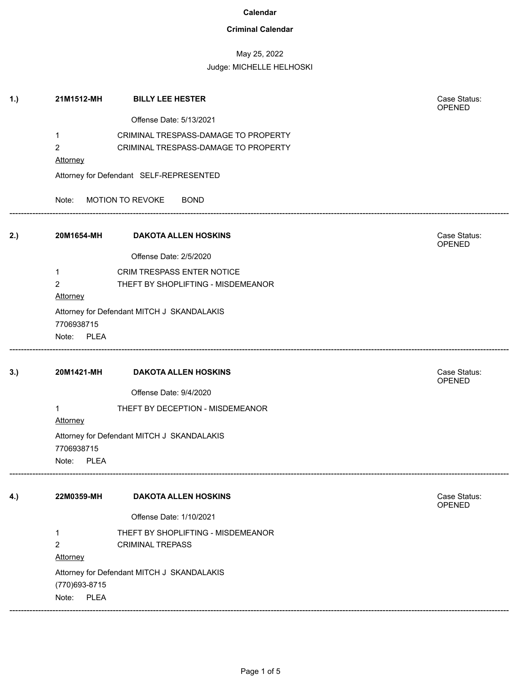## **Criminal Calendar**

## May 25, 2022 Judge: MICHELLE HELHOSKI

| 1.) | 21M1512-MH                                 | <b>BILLY LEE HESTER</b>                    | Case Status:<br>OPENED |  |  |
|-----|--------------------------------------------|--------------------------------------------|------------------------|--|--|
|     |                                            | Offense Date: 5/13/2021                    |                        |  |  |
|     | 1                                          | CRIMINAL TRESPASS-DAMAGE TO PROPERTY       |                        |  |  |
|     | $\overline{2}$                             | CRIMINAL TRESPASS-DAMAGE TO PROPERTY       |                        |  |  |
|     | Attorney                                   |                                            |                        |  |  |
|     |                                            | Attorney for Defendant SELF-REPRESENTED    |                        |  |  |
|     | Note:                                      | MOTION TO REVOKE<br><b>BOND</b>            |                        |  |  |
| 2.) |                                            | 20M1654-MH DAKOTA ALLEN HOSKINS            | Case Status:<br>OPENED |  |  |
|     |                                            | Offense Date: 2/5/2020                     |                        |  |  |
|     | $\mathbf{1}$                               | CRIM TRESPASS ENTER NOTICE                 |                        |  |  |
|     | $\overline{2}$                             | THEFT BY SHOPLIFTING - MISDEMEANOR         |                        |  |  |
|     | <b>Attorney</b>                            |                                            |                        |  |  |
|     |                                            | Attorney for Defendant MITCH J SKANDALAKIS |                        |  |  |
|     | 7706938715                                 |                                            |                        |  |  |
|     | Note: PLEA                                 |                                            |                        |  |  |
|     |                                            |                                            |                        |  |  |
| 3.) | 20M1421-MH                                 | <b>DAKOTA ALLEN HOSKINS</b>                | Case Status:<br>OPENED |  |  |
|     |                                            | Offense Date: 9/4/2020                     |                        |  |  |
|     | 1                                          | THEFT BY DECEPTION - MISDEMEANOR           |                        |  |  |
|     | Attorney                                   |                                            |                        |  |  |
|     | 7706938715                                 | Attorney for Defendant MITCH J SKANDALAKIS |                        |  |  |
|     | <b>PLEA</b><br>Note:                       |                                            |                        |  |  |
| 4.) | 22M0359-MH                                 | <b>DAKOTA ALLEN HOSKINS</b>                | Case Status:           |  |  |
|     |                                            | Offense Date: 1/10/2021                    | OPENED                 |  |  |
|     | $\mathbf{1}$                               | THEFT BY SHOPLIFTING - MISDEMEANOR         |                        |  |  |
|     | $\overline{2}$                             | <b>CRIMINAL TREPASS</b>                    |                        |  |  |
|     | Attorney                                   |                                            |                        |  |  |
|     | Attorney for Defendant MITCH J SKANDALAKIS |                                            |                        |  |  |
|     | (770) 693-8715                             |                                            |                        |  |  |
|     | Note: PLEA                                 |                                            |                        |  |  |
|     |                                            |                                            |                        |  |  |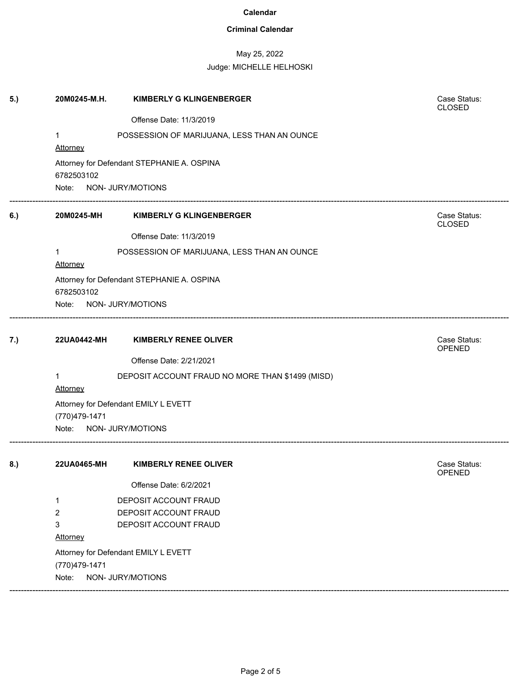## **Criminal Calendar**

# May 25, 2022

### Judge: MICHELLE HELHOSKI

| 5.) | 20M0245-M.H.                                          | <b>KIMBERLY G KLINGENBERGER</b>                  | Case Status:<br><b>CLOSED</b> |  |  |  |
|-----|-------------------------------------------------------|--------------------------------------------------|-------------------------------|--|--|--|
|     |                                                       | Offense Date: 11/3/2019                          |                               |  |  |  |
|     | $\mathbf 1$                                           | POSSESSION OF MARIJUANA, LESS THAN AN OUNCE      |                               |  |  |  |
|     | <b>Attorney</b>                                       |                                                  |                               |  |  |  |
|     |                                                       | Attorney for Defendant STEPHANIE A. OSPINA       |                               |  |  |  |
|     |                                                       | 6782503102                                       |                               |  |  |  |
|     |                                                       | Note: NON- JURY/MOTIONS                          |                               |  |  |  |
| 6.) | 20M0245-MH                                            | <b>KIMBERLY G KLINGENBERGER</b>                  | Case Status:<br><b>CLOSED</b> |  |  |  |
|     |                                                       | Offense Date: 11/3/2019                          |                               |  |  |  |
|     | $\mathbf 1$<br>Attorney                               | POSSESSION OF MARIJUANA, LESS THAN AN OUNCE      |                               |  |  |  |
|     |                                                       | Attorney for Defendant STEPHANIE A. OSPINA       |                               |  |  |  |
|     | 6782503102                                            |                                                  |                               |  |  |  |
|     | Note: NON- JURY/MOTIONS                               |                                                  |                               |  |  |  |
| 7.) | 22UA0442-MH                                           | <b>KIMBERLY RENEE OLIVER</b>                     | Case Status:                  |  |  |  |
|     |                                                       | Offense Date: 2/21/2021                          | <b>OPENED</b>                 |  |  |  |
|     |                                                       |                                                  |                               |  |  |  |
|     | 1<br>Attorney                                         | DEPOSIT ACCOUNT FRAUD NO MORE THAN \$1499 (MISD) |                               |  |  |  |
|     |                                                       |                                                  |                               |  |  |  |
|     | Attorney for Defendant EMILY L EVETT<br>(770)479-1471 |                                                  |                               |  |  |  |
|     | Note: NON- JURY/MOTIONS                               |                                                  |                               |  |  |  |
| 8.) | 22UA0465-MH                                           | <b>KIMBERLY RENEE OLIVER</b>                     | Case Status:<br><b>OPENED</b> |  |  |  |
|     |                                                       | Offense Date: 6/2/2021                           |                               |  |  |  |
|     | 1                                                     | DEPOSIT ACCOUNT FRAUD                            |                               |  |  |  |
|     | 2                                                     | DEPOSIT ACCOUNT FRAUD                            |                               |  |  |  |
|     | 3                                                     | DEPOSIT ACCOUNT FRAUD                            |                               |  |  |  |
|     | Attorney                                              |                                                  |                               |  |  |  |
|     | Attorney for Defendant EMILY L EVETT                  |                                                  |                               |  |  |  |
|     | (770)479-1471                                         |                                                  |                               |  |  |  |
|     | NON- JURY/MOTIONS<br>Note:                            |                                                  |                               |  |  |  |

------------------------------------------------------------------------------------------------------------------------------------------------------------------------------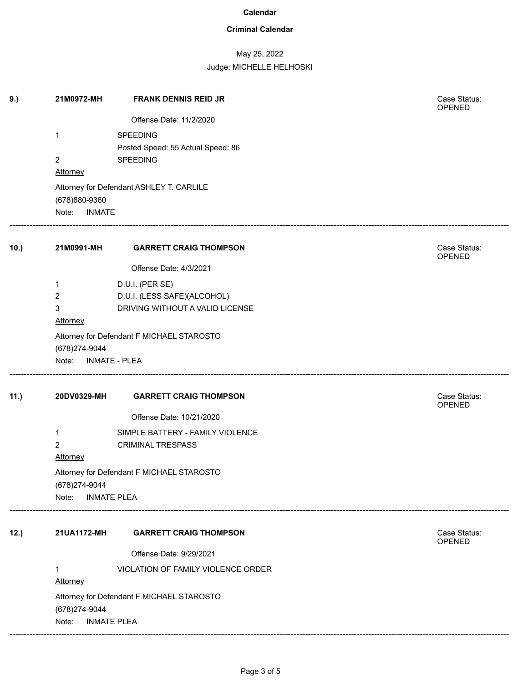## **Criminal Calendar**

# May 25, 2022

Judge: MICHELLE HELHOSKI

| 9.)  | 21M0972-MH                               | <b>FRANK DENNIS REID JR</b>               | Case Status:<br>OPENED |
|------|------------------------------------------|-------------------------------------------|------------------------|
|      |                                          | Offense Date: 11/2/2020                   |                        |
|      | 1                                        | <b>SPEEDING</b>                           |                        |
|      |                                          | Posted Speed: 55 Actual Speed: 86         |                        |
|      | $\overline{2}$                           | <b>SPEEDING</b>                           |                        |
|      | Attorney                                 |                                           |                        |
|      |                                          | Attorney for Defendant ASHLEY T. CARLILE  |                        |
|      | (678) 880-9360<br>Note:<br><b>INMATE</b> |                                           |                        |
| 10.) | 21M0991-MH                               | <b>GARRETT CRAIG THOMPSON</b>             | Case Status:           |
|      |                                          |                                           | OPENED                 |
|      |                                          | Offense Date: 4/3/2021                    |                        |
|      | 1                                        | D.U.I. (PER SE)                           |                        |
|      | 2                                        | D.U.I. (LESS SAFE)(ALCOHOL)               |                        |
|      | 3<br>Attorney                            | DRIVING WITHOUT A VALID LICENSE           |                        |
|      |                                          |                                           |                        |
|      | (678) 274-9044                           | Attorney for Defendant F MICHAEL STAROSTO |                        |
|      | Note: INMATE - PLEA                      |                                           |                        |
|      |                                          |                                           |                        |
| 11.) | 20DV0329-MH                              | <b>GARRETT CRAIG THOMPSON</b>             | Case Status:<br>OPENED |
|      |                                          | Offense Date: 10/21/2020                  |                        |
|      | 1                                        | SIMPLE BATTERY - FAMILY VIOLENCE          |                        |
|      | $\overline{2}$                           | <b>CRIMINAL TRESPASS</b>                  |                        |
|      | <b>Attorney</b>                          |                                           |                        |
|      | (678) 274-9044                           | Attorney for Defendant F MICHAEL STAROSTO |                        |
|      | Note:<br><b>INMATE PLEA</b>              |                                           |                        |
|      |                                          |                                           |                        |
| 12.) | 21UA1172-MH                              | <b>GARRETT CRAIG THOMPSON</b>             | Case Status:<br>OPENED |
|      |                                          | Offense Date: 9/29/2021                   |                        |
|      | 1                                        | VIOLATION OF FAMILY VIOLENCE ORDER        |                        |
|      | Attorney                                 |                                           |                        |
|      |                                          | Attorney for Defendant F MICHAEL STAROSTO |                        |
|      | (678) 274-9044                           |                                           |                        |
|      | Note:                                    | <b>INMATE PLEA</b>                        |                        |
|      |                                          |                                           |                        |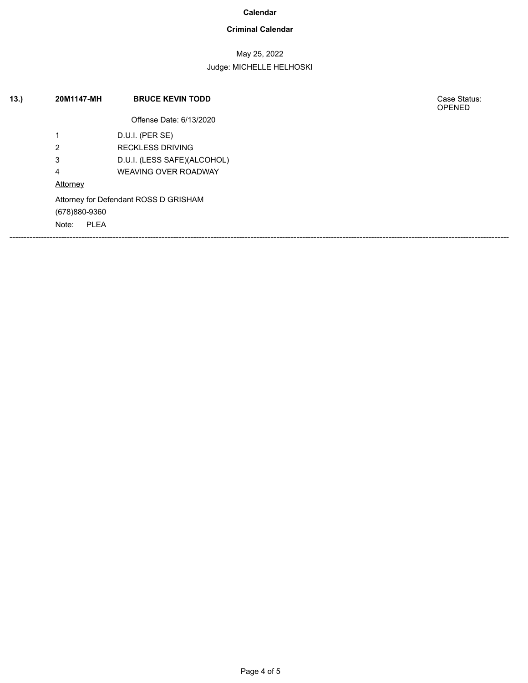## **Criminal Calendar**

# May 25, 2022

### Judge: MICHELLE HELHOSKI

| 13. | 20M1147-MH                            | <b>BRUCE KEVIN TODD</b>     | Case Status:<br><b>OPENED</b> |
|-----|---------------------------------------|-----------------------------|-------------------------------|
|     |                                       | Offense Date: 6/13/2020     |                               |
|     | 1                                     | D.U.I. (PER SE)             |                               |
|     | 2                                     | <b>RECKLESS DRIVING</b>     |                               |
|     | 3                                     | D.U.I. (LESS SAFE)(ALCOHOL) |                               |
|     | 4                                     | <b>WEAVING OVER ROADWAY</b> |                               |
|     | Attorney                              |                             |                               |
|     | Attorney for Defendant ROSS D GRISHAM |                             |                               |
|     | (678)880-9360                         |                             |                               |
|     | PLEA<br>Note:                         |                             |                               |
|     |                                       |                             |                               |